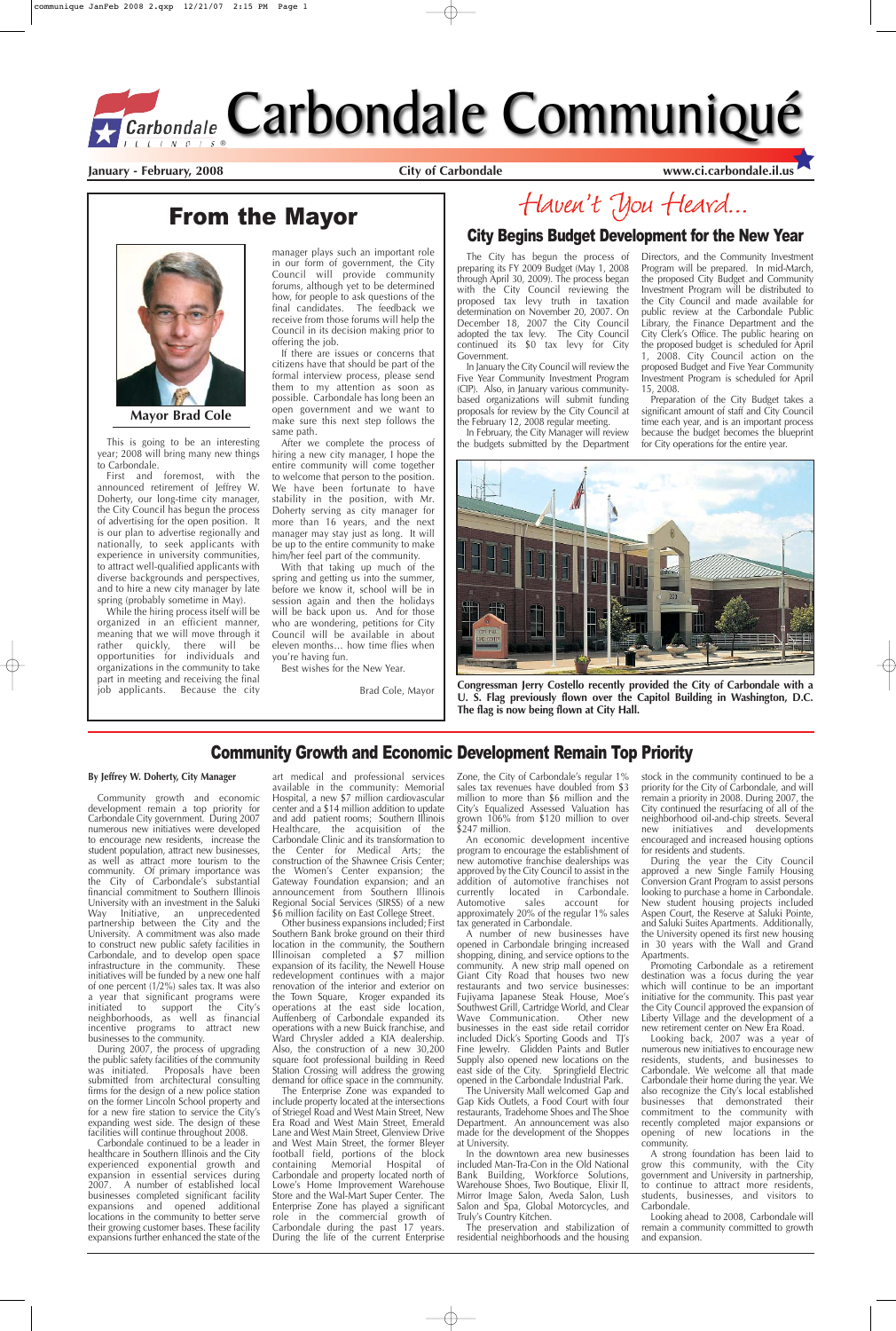The City has begun the process of preparing its FY 2009 Budget (May 1, 2008 through April 30, 2009). The process began with the City Council reviewing the proposed tax levy truth in taxation determination on November 20, 2007. On December 18, 2007 the City Council adopted the tax levy. The City Council continued its \$0 tax levy for City Government.

In January the City Council will review the Five Year Community Investment Program (CIP). Also, in January various communitybased organizations will submit funding proposals for review by the City Council at the February 12, 2008 regular meeting.

In February, the City Manager will review the budgets submitted by the Department



Directors, and the Community Investment Program will be prepared. In mid-March, the proposed City Budget and Community Investment Program will be distributed to the City Council and made available for public review at the Carbondale Public Library, the Finance Department and the City Clerk's Office. The public hearing on the proposed budget is scheduled for April 1, 2008. City Council action on the proposed Budget and Five Year Community Investment Program is scheduled for April

15, 2008.

Preparation of the City Budget takes a significant amount of staff and City Council time each year, and is an important process because the budget becomes the blueprint for City operations for the entire year.

**January - February, 2008 City of Carbondale www.ci.carbondale.il.us**

# From the Mayor

#### **By Jeffrey W. Doherty, City Manager**

art medical and professional services available in the community: Memorial Hospital, a new \$7 million cardiovascular center and a \$14 million addition to update and add patient rooms; Southern Illinois Healthcare, the acquisition of the Carbondale Clinic and its transformation to the Center for Medical Arts; the construction of the Shawnee Crisis Center; the Women's Center expansion; the Gateway Foundation expansion; and an announcement from Southern Illinois Regional Social Services (SIRSS) of a new \$6 million facility on East College Street.

Community growth and economic development remain a top priority for Carbondale City government. During 2007 numerous new initiatives were developed to encourage new residents, increase the student population, attract new businesses, as well as attract more tourism to the community. Of primary importance was the City of Carbondale's substantial financial commitment to Southern Illinois University with an investment in the Saluki Way Initiative, an unprecedented partnership between the City and the University. A commitment was also made to construct new public safety facilities in Carbondale, and to develop open space infrastructure in the community. These initiatives will be funded by a new one half of one percent (1/2%) sales tax. It was also a year that significant programs were initiated to support the City's neighborhoods, as well as financial incentive programs to attract new businesses to the community.

During 2007, the process of upgrading the public safety facilities of the community was initiated. Proposals have been submitted from architectural consulting firms for the design of a new police station on the former Lincoln School property and for a new fire station to service the City's expanding west side. The design of these facilities will continue throughout 2008.

Carbondale continued to be a leader in healthcare in Southern Illinois and the City experienced exponential growth and expansion in essential services during 2007. A number of established local businesses completed significant facility expansions and opened additional locations in the community to better serve their growing customer bases. These facility expansions further enhanced the state of the

stock in the community continued to be a priority for the City of Carbondale, and will remain a priority in 2008. During 2007, the City continued the resurfacing of all of the neighborhood oil-and-chip streets. Several new initiatives and developments encouraged and increased housing options for residents and students.

Other business expansions included; First Southern Bank broke ground on their third location in the community, the Southern Illinoisan completed  $a'$  \$7 million expansion of its facility, the Newell House redevelopment continues with a major renovation of the interior and exterior on the Town Square, Kroger expanded its operations at the east side location, Auffenberg of Carbondale expanded its operations with a new Buick franchise, and Ward Chrysler added a KIA dealership. Also, the construction of a new  $30,200$ square foot professional building in Reed Station Crossing will address the growing demand for office space in the community. The Enterprise Zone was expanded to include property located at the intersections of Striegel Road and West Main Street, New Era Road and West Main Street, Emerald Lane and West Main Street, Glenview Drive and West Main Street, the former Bleyer football field, portions of the block containing Memorial Hospital of Carbondale and property located north of Lowe's Home Improvement Warehouse Store and the Wal-Mart Super Center. The Enterprise Zone has played a significant role in the commercial growth of Carbondale during the past 17 years. During the life of the current Enterprise

Zone, the City of Carbondale's regular 1% sales tax revenues have doubled from \$3 million to more than \$6 million and the City's Equalized Assessed Valuation has grown 106% from \$120 million to over \$247 million.

An economic development incentive program to encourage the establishment of new automotive franchise dealerships was approved by the City Council to assist in the addition of automotive franchises not currently located in Carbondale.<br>Automotive sales account for Automotive sales account for approximately 20% of the regular 1% sales tax generated in Carbondale.

A number of new businesses have opened in Carbondale bringing increased shopping, dining, and service options to the community. A new strip mall opened on Giant City Road that houses two new restaurants and two service businesses: Fujiyama Japanese Steak House, Moe's Southwest Grill, Cartridge World, and Clear Wave Communication. Other new businesses in the east side retail corridor included Dick's Sporting Goods and TJ's Fine Jewelry. Glidden Paints and Butler Supply also opened new locations on the east side of the City. Springfield Electric opened in the Carbondale Industrial Park. The University Mall welcomed Gap and Gap Kids Outlets, a Food Court with four restaurants, Tradehome Shoes and The Shoe Department. An announcement was also made for the development of the Shoppes at University. In the downtown area new businesses included Man-Tra-Con in the Old National Bank Building, Workforce Solutions, Warehouse Shoes, Two Boutique, Elixir II, Mirror Image Salon, Aveda Salon, Lush Salon and Spa, Global Motorcycles, and Truly's Country Kitchen.

The preservation and stabilization of residential neighborhoods and the housing

During the year the City Council approved a new Single Family Housing Conversion Grant Program to assist persons looking to purchase a home in Carbondale. New student housing projects included Aspen Court, the Reserve at Saluki Pointe, and Saluki Suites Apartments. Additionally, the University opened its first new housing in 30 years with the Wall and Grand Apartments. Promoting Carbondale as a retirement destination was a focus during the year which will continue to be an important initiative for the community. This past year the City Council approved the expansion of Liberty Village and the development of a new retirement center on New Era Road. Looking back, 2007 was a year of numerous new initiatives to encourage new residents, students, and businesses to Carbondale. We welcome all that made Carbondale their home during the year. We also recognize the City's local established businesses that demonstrated their commitment to the community with recently completed major expansions or opening of new locations in the community. A strong foundation has been laid to grow this community, with the City government and University in partnership, to continue to attract more residents, students, businesses, and visitors to Carbondale.

Looking ahead to 2008, Carbondale will remain a community committed to growth and expansion.

#### Community Growth and Economic Development Remain Top Priority

This is going to be an interesting year; 2008 will bring many new things to Carbondale.

First and foremost, with the announced retirement of Jeffrey W. Doherty, our long-time city manager, the City Council has begun the process of advertising for the open position. It is our plan to advertise regionally and nationally, to seek applicants with experience in university communities, to attract well-qualified applicants with diverse backgrounds and perspectives, and to hire a new city manager by late spring (probably sometime in May).

While the hiring process itself will be organized in an efficient manner, meaning that we will move through it rather quickly, there will be opportunities for individuals and organizations in the community to take part in meeting and receiving the final job applicants. Because the city

manager plays such an important role in our form of government, the City Council will provide community forums, although yet to be determined how, for people to ask questions of the final candidates. The feedback we receive from those forums will help the Council in its decision making prior to offering the job.

If there are issues or concerns that citizens have that should be part of the formal interview process, please send them to my attention as soon as possible. Carbondale has long been an open government and we want to make sure this next step follows the same path.

After we complete the process of hiring a new city manager, I hope the entire community will come together to welcome that person to the position. We have been fortunate to have stability in the position, with Mr. Doherty serving as city manager for more than 16 years, and the next manager may stay just as long. It will be up to the entire community to make him/her feel part of the community.

With that taking up much of the spring and getting us into the summer, before we know it, school will be in session again and then the holidays will be back upon us. And for those who are wondering, petitions for City Council will be available in about eleven months… how time flies when you're having fun.

Best wishes for the New Year.

Brad Cole, Mayor

# Haven't You Heard...



**Mayor Brad Cole**

**Congressman Jerry Costello recently provided the City of Carbondale with a U. S. Flag previously flown over the Capitol Building in Washington, D.C. The flag is now being flown at City Hall.**

#### City Begins Budget Development for the New Year

# *<u>Carbondale</u>* Carbondale Communiqué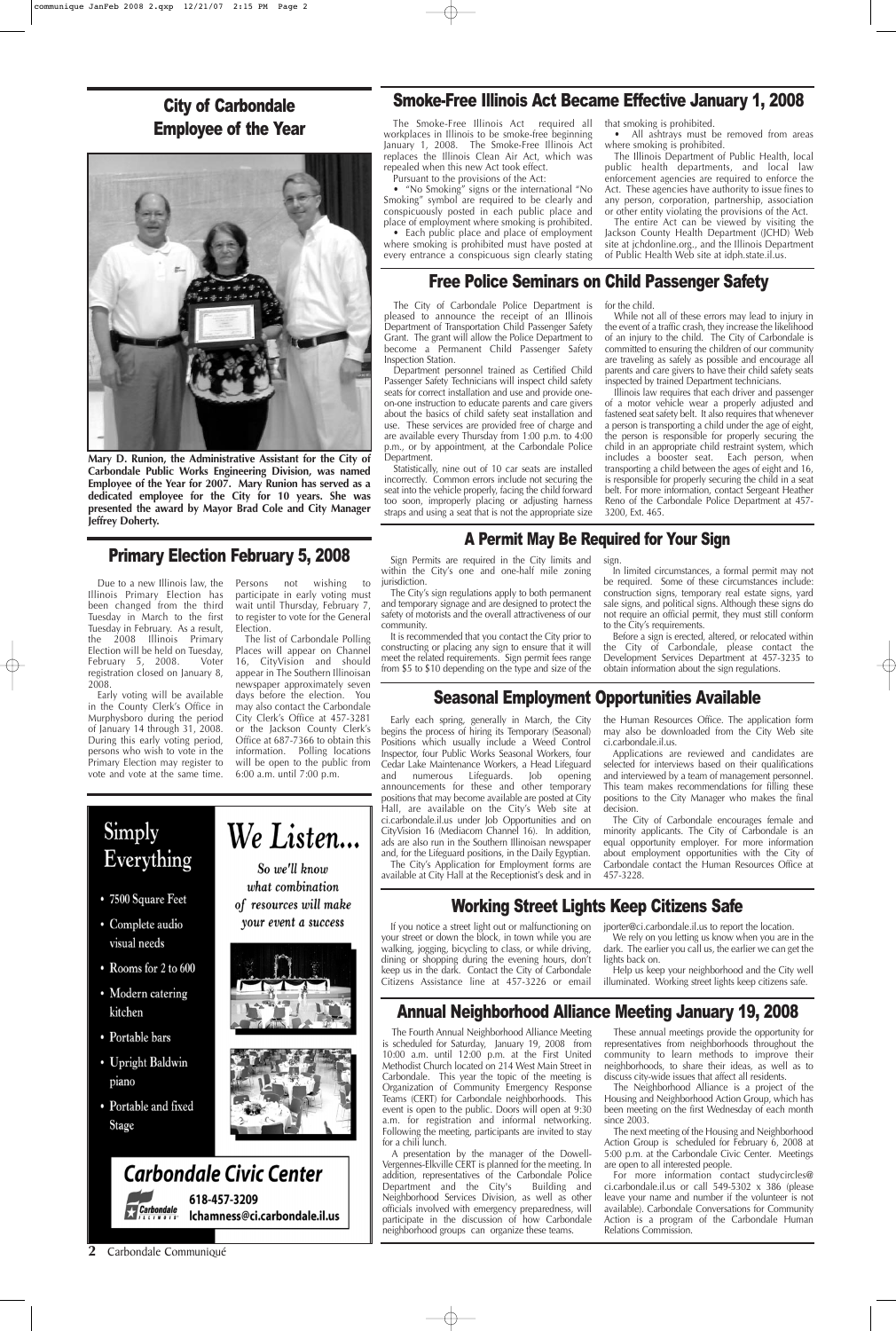The City of Carbondale Police Department is pleased to announce the receipt of an Illinois Department of Transportation Child Passenger Safety Grant. The grant will allow the Police Department to become a Permanent Child Passenger Safety Inspection Station.

Department personnel trained as Certified Child Passenger Safety Technicians will inspect child safety seats for correct installation and use and provide oneon-one instruction to educate parents and care givers about the basics of child safety seat installation and use. These services are provided free of charge and are available every Thursday from 1:00 p.m. to 4:00 p.m., or by appointment, at the Carbondale Police Department.

Statistically, nine out of 10 car seats are installed incorrectly. Common errors include not securing the seat into the vehicle properly, facing the child forward too soon, improperly placing or adjusting harness straps and using a seat that is not the appropriate size for the child.

While not all of these errors may lead to injury in the event of a traffic crash, they increase the likelihood of an injury to the child. The City of Carbondale is committed to ensuring the children of our community are traveling as safely as possible and encourage all parents and care givers to have their child safety seats inspected by trained Department technicians.

Illinois law requires that each driver and passenger of a motor vehicle wear a properly adjusted and fastened seat safety belt. It also requires that whenever a person is transporting a child under the age of eight, the person is responsible for properly securing the child in an appropriate child restraint system, which includes a booster seat. Each person, when transporting a child between the ages of eight and 16, is responsible for properly securing the child in a seat belt. For more information, contact Sergeant Heather Reno of the Carbondale Police Department at 457- 3200, Ext. 465.



We rely on you letting us know when you are in the dark. The earlier you call us, the earlier we can get the lights back on.

Help us keep your neighborhood and the City well illuminated. Working street lights keep citizens safe.

#### Working Street Lights Keep Citizens Safe

If you notice a street light out or malfunctioning on jporter@ci.carbondale.il.us to report the location.

Everything

• 7500 Square Feet

• Complete audio

We Listen... So we'll know what combination of resources will make

visual needs

Simply

- Rooms for 2 to 600
- Modern catering kitchen
- Portable bars
- Upright Baldwin piano
- Portable and fixed **Stage**



your event a success





**Mary D. Runion, the Administrative Assistant for the City of Carbondale Public Works Engineering Division, was named Employee of the Year for 2007. Mary Runion has served as a dedicated employee for the City for 10 years. She was presented the award by Mayor Brad Cole and City Manager Jeffrey Doherty.**

#### **2** Carbondale Communiqué

#### Seasonal Employment Opportunities Available

Early each spring, generally in March, the City begins the process of hiring its Temporary (Seasonal) Positions which usually include a Weed Control Inspector, four Public Works Seasonal Workers, four Cedar Lake Maintenance Workers, a Head Lifeguard and numerous Lifeguards. Job opening announcements for these and other temporary positions that may become available are posted at City Hall, are available on the City's Web site at ci.carbondale.il.us under Job Opportunities and on CityVision 16 (Mediacom Channel 16). In addition, ads are also run in the Southern Illinoisan newspaper and, for the Lifeguard positions, in the Daily Egyptian.

The City's Application for Employment forms are available at City Hall at the Receptionist's desk and in

the Human Resources Office. The application form may also be downloaded from the City Web site ci.carbondale.il.us.

Applications are reviewed and candidates are selected for interviews based on their qualifications and interviewed by a team of management personnel. This team makes recommendations for filling these positions to the City Manager who makes the final decision.

The City of Carbondale encourages female and minority applicants. The City of Carbondale is an equal opportunity employer. For more information about employment opportunities with the City of Carbondale contact the Human Resources Office at 457-3228.

#### Free Police Seminars on Child Passenger Safety

Primary Election February 5, 2008

Due to a new Illinois law, the Illinois Primary Election has been changed from the third Tuesday in March to the first Tuesday in February. As a result, the 2008 Illinois Primary Election will be held on Tuesday, February 5, 2008. Voter registration closed on January 8, 2008.

Early voting will be available in the County Clerk's Office in Murphysboro during the period of January 14 through 31, 2008. During this early voting period, persons who wish to vote in the Primary Election may register to vote and vote at the same time.

Persons not wishing to participate in early voting must wait until Thursday, February 7, to register to vote for the General Election.

The list of Carbondale Polling Places will appear on Channel 16, CityVision and should appear in The Southern Illinoisan newspaper approximately seven days before the election. You may also contact the Carbondale City Clerk's Office at 457-3281 or the Jackson County Clerk's Office at 687-7366 to obtain this information. Polling locations will be open to the public from 6:00 a.m. until 7:00 p.m.

## City of Carbondale Employee of the Year



#### Smoke-Free Illinois Act Became Effective January 1, 2008

The Smoke-Free Illinois Act required all workplaces in Illinois to be smoke-free beginning January 1, 2008. The Smoke-Free Illinois Act replaces the Illinois Clean Air Act, which was repealed when this new Act took effect.

Pursuant to the provisions of the Act:

**•** "No Smoking" signs or the international "No Smoking" symbol are required to be clearly and conspicuously posted in each public place and place of employment where smoking is prohibited. **•** Each public place and place of employment

where smoking is prohibited must have posted at every entrance a conspicuous sign clearly stating that smoking is prohibited.

**•** All ashtrays must be removed from areas where smoking is prohibited.

The Illinois Department of Public Health, local public health departments, and local law enforcement agencies are required to enforce the Act. These agencies have authority to issue fines to any person, corporation, partnership, association or other entity violating the provisions of the Act.

The entire Act can be viewed by visiting the Jackson County Health Department (JCHD) Web site at jchdonline.org., and the Illinois Department of Public Health Web site at idph.state.il.us.

#### A Permit May Be Required for Your Sign

Sign Permits are required in the City limits and within the City's one and one-half mile zoning jurisdiction.

The City's sign regulations apply to both permanent and temporary signage and are designed to protect the safety of motorists and the overall attractiveness of our community.

It is recommended that you contact the City prior to constructing or placing any sign to ensure that it will meet the related requirements. Sign permit fees range from \$5 to \$10 depending on the type and size of the sign.

In limited circumstances, a formal permit may not be required. Some of these circumstances include: construction signs, temporary real estate signs, yard sale signs, and political signs. Although these signs do not require an official permit, they must still conform to the City's requirements.

Before a sign is erected, altered, or relocated within the City of Carbondale, please contact the Development Services Department at 457-3235 to obtain information about the sign regulations.

## Annual Neighborhood Alliance Meeting January 19, 2008

The Fourth Annual Neighborhood Alliance Meeting is scheduled for Saturday, January 19, 2008 from 10:00 a.m. until 12:00 p.m. at the First United Methodist Church located on 214 West Main Street in Carbondale. This year the topic of the meeting is Organization of Community Emergency Response Teams (CERT) for Carbondale neighborhoods. This event is open to the public. Doors will open at 9:30 a.m. for registration and informal networking. Following the meeting, participants are invited to stay for a chili lunch.

A presentation by the manager of the Dowell-Vergennes-Elkville CERT is planned for the meeting. In addition, representatives of the Carbondale Police Department and the City's Building and Neighborhood Services Division, as well as other officials involved with emergency preparedness, will participate in the discussion of how Carbondale neighborhood groups can organize these teams.

These annual meetings provide the opportunity for representatives from neighborhoods throughout the community to learn methods to improve their neighborhoods, to share their ideas, as well as to discuss city-wide issues that affect all residents.

The Neighborhood Alliance is a project of the Housing and Neighborhood Action Group, which has been meeting on the first Wednesday of each month since 2003.

The next meeting of the Housing and Neighborhood Action Group is scheduled for February 6, 2008 at 5:00 p.m. at the Carbondale Civic Center. Meetings are open to all interested people.

For more information contact studycircles@ ci.carbondale.il.us or call 549-5302 x 386 (please leave your name and number if the volunteer is not available). Carbondale Conversations for Community Action is a program of the Carbondale Human Relations Commission.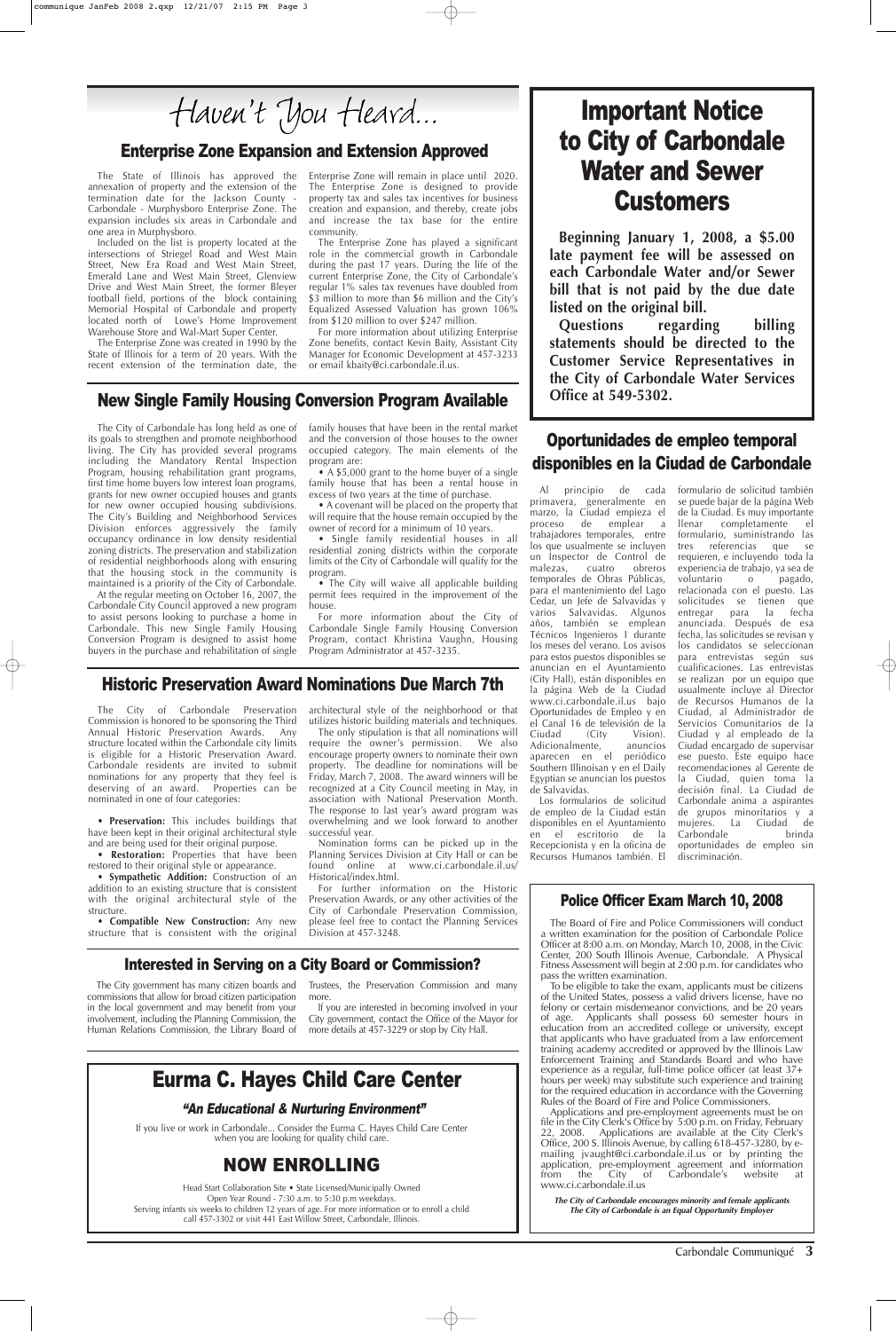The State of Illinois has approved the annexation of property and the extension of the termination date for the Jackson County - Carbondale - Murphysboro Enterprise Zone. The expansion includes six areas in Carbondale and one area in Murphysboro.

Included on the list is property located at the intersections of Striegel Road and West Main Street, New Era Road and West Main Street, Emerald Lane and West Main Street, Glenview Drive and West Main Street, the former Bleyer football field, portions of the block containing Memorial Hospital of Carbondale and property located north of Lowe's Home Improvement Warehouse Store and Wal-Mart Super Center.

The Enterprise Zone was created in 1990 by the State of Illinois for a term of 20 years. With the recent extension of the termination date, the Enterprise Zone will remain in place until 2020. The Enterprise Zone is designed to provide property tax and sales tax incentives for business creation and expansion, and thereby, create jobs and increase the tax base for the entire community.

The Enterprise Zone has played a significant role in the commercial growth in Carbondale during the past 17 years. During the life of the current Enterprise Zone, the City of Carbondale's regular 1% sales tax revenues have doubled from \$3 million to more than \$6 million and the City's Equalized Assessed Valuation has grown 106% from \$120 million to over \$247 million.

• A \$5,000 grant to the home buyer of a single family house that has been a rental house in excess of two years at the time of purchase.

For more information about utilizing Enterprise Zone benefits, contact Kevin Baity, Assistant City Manager for Economic Development at 457-3233 or email kbaity@ci.carbondale.il.us.

#### New Single Family Housing Conversion Program Available

The City of Carbondale has long held as one of its goals to strengthen and promote neighborhood living. The City has provided several programs including the Mandatory Rental Inspection Program, housing rehabilitation grant programs, first time home buyers low interest loan programs, grants for new owner occupied houses and grants for new owner occupied housing subdivisions. The City's Building and Neighborhood Services Division enforces aggressively the family occupancy ordinance in low density residential zoning districts. The preservation and stabilization of residential neighborhoods along with ensuring that the housing stock in the community is maintained is a priority of the City of Carbondale.

At the regular meeting on October 16, 2007, the Carbondale City Council approved a new program to assist persons looking to purchase a home in Carbondale. This new Single Family Housing Conversion Program is designed to assist home buyers in the purchase and rehabilitation of single family houses that have been in the rental market and the conversion of those houses to the owner occupied category. The main elements of the program are:

• A covenant will be placed on the property that will require that the house remain occupied by the owner of record for a minimum of 10 years.

• Single family residential houses in all residential zoning districts within the corporate limits of the City of Carbondale will qualify for the program.

• The City will waive all applicable building permit fees required in the improvement of the house.

For more information about the City of Carbondale Single Family Housing Conversion Program, contact Khristina Vaughn, Housing Program Administrator at 457-3235.

Carbondale Communiqué **3**

#### Police Officer Exam March 10, 2008

The Board of Fire and Police Commissioners will conduct a written examination for the position of Carbondale Police Officer at 8:00 a.m. on Monday, March 10, 2008, in the Civic Center, 200 South Illinois Avenue, Carbondale. A Physical Fitness Assessment will begin at 2:00 p.m. for candidates who pass the written examination. To be eligible to take the exam, applicants must be citizens of the United States, possess a valid drivers license, have no felony or certain misdemeanor convictions, and be 20 years of age. Applicants shall possess 60 semester hours in education from an accredited college or university, except that applicants who have graduated from a law enforcement training academy accredited or approved by the Illinois Law Enforcement Training and Standards Board and who have experience as a regular, full-time police officer (at least 37+ hours per week) may substitute such experience and training for the required education in accordance with the Governing Rules of the Board of Fire and Police Commissioners. Applications and pre-employment agreements must be on file in the City Clerk's Office by 5:00 p.m. on Friday, February 22, 2008. Applications are available at the City Clerk's Applications are available at the City Clerk's Office, 200 S. Illinois Avenue, by calling 618-457-3280, by emailing jvaught@ci.carbondale.il.us or by printing the application, pre-employment agreement and information<br>from the City of Carbondale's website at from the City of Carbondale's website at www.ci.carbondale.il.us

# Important Notice to City of Carbondale Water and Sewer **Customers**

If you live or work in Carbondale... Consider the Eurma C. Hayes Child Care Center when you are looking for quality child care.

> **The City of Carbondale encourages minority and female applicants The City of Carbondale is an Equal Opportunity Employer**

Al principio de cada primavera, generalmente en marzo, la Ciudad empieza el proceso de emplear a trabajadores temporales, entre los que usualmente se incluyen un Inspector de Control de malezas, cuatro obreros temporales de Obras Públicas, para el mantenimiento del Lago Cedar, un Jefe de Salvavidas y varios Salvavidas. Algunos años, también se emplean Técnicos Ingenieros I durante los meses del verano. Los avisos para estos puestos disponibles se anuncian en el Ayuntamiento (City Hall), están disponibles en la página Web de la Ciudad www.ci.carbondale.il.us bajo Oportunidades de Empleo y en el Canal 16 de televisión de la Ciudad (City Vision). Adicionalmente, anuncios aparecen en el periódico Southern Illinoisan y en el Daily Egyptian se anuncian los puestos de Salvavidas.

Los formularios de solicitud de empleo de la Ciudad están disponibles en el Ayuntamiento en el escritorio de la Recepcionista y en la oficina de Recursos Humanos también. El

formulario de solicitud también se puede bajar de la página Web de la Ciudad. Es muy importante llenar completamente el formulario, suministrando las tres referencias que se requieren, e incluyendo toda la experiencia de trabajo, ya sea de voluntario o pagado, relacionada con el puesto. Las solicitudes se tienen que entregar para la fecha anunciada. Después de esa fecha, las solicitudes se revisan y los candidatos se seleccionan para entrevistas según sus cualificaciones. Las entrevistas se realizan por un equipo que usualmente incluye al Director de Recursos Humanos de la Ciudad, al Administrador de Servicios Comunitarios de la Ciudad y al empleado de la Ciudad encargado de supervisar ese puesto. Este equipo hace recomendaciones al Gerente de la Ciudad, quien toma la decisión final. La Ciudad de Carbondale anima a aspirantes de grupos minoritarios y a mujeres. La Ciudad de Carbondale brinda oportunidades de empleo sin discriminación.

### Oportunidades de empleo temporal disponibles en la Ciudad de Carbondale

#### Historic Preservation Award Nominations Due March 7th

The City of Carbondale Preservation Commission is honored to be sponsoring the Third Annual Historic Preservation Awards. Any structure located within the Carbondale city limits is eligible for a Historic Preservation Award. Carbondale residents are invited to submit nominations for any property that they feel is deserving of an award. Properties can be nominated in one of four categories:

• **Preservation:** This includes buildings that have been kept in their original architectural style and are being used for their original purpose.

• **Restoration:** Properties that have been restored to their original style or appearance.

• **Sympathetic Addition:** Construction of an addition to an existing structure that is consistent

architectural style of the neighborhood or that utilizes historic building materials and techniques.

The only stipulation is that all nominations will require the owner's permission. We also encourage property owners to nominate their own property. The deadline for nominations will be Friday, March 7, 2008. The award winners will be recognized at a City Council meeting in May, in association with National Preservation Month. The response to last year's award program was overwhelming and we look forward to another successful year.

with the original architectural style of the structure. • **Compatible New Construction:** Any new structure that is consistent with the original Division at 457-3248. For further information on the Historic Preservation Awards, or any other activities of the City of Carbondale Preservation Commission, please feel free to contact the Planning Services

Nomination forms can be picked up in the Planning Services Division at City Hall or can be found online at www.ci.carbondale.il.us/ Historical/index.html.

#### Enterprise Zone Expansion and Extension Approved

**Beginning January 1, 2008, a \$5.00 late payment fee will be assessed on each Carbondale Water and/or Sewer bill that is not paid by the due date listed on the original bill.**

**Questions regarding billing statements should be directed to the Customer Service Representatives in the City of Carbondale Water Services Office at 549-5302.**

# Eurma C. Hayes Child Care Center

## NOW ENROLLING

Head Start Collaboration Site • State Licensed/Municipally Owned Open Year Round - 7:30 a.m. to 5:30 p.m weekdays. Serving infants six weeks to children 12 years of age. For more information or to enroll a child call 457-3302 or visit 441 East Willow Street, Carbondale, Illinois.

#### "An Educational & Nurturing Environment"

#### Interested in Serving on a City Board or Commission?

The City government has many citizen boards and commissions that allow for broad citizen participation in the local government and may benefit from your involvement, including the Planning Commission, the Human Relations Commission, the Library Board of

Trustees, the Preservation Commission and many more.

If you are interested in becoming involved in your City government, contact the Office of the Mayor for more details at 457-3229 or stop by City Hall.

Haven't You Heard...